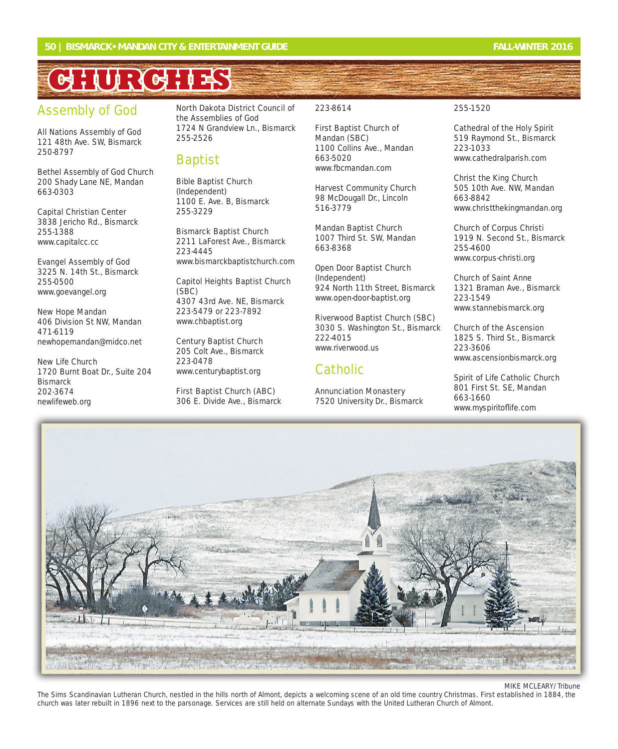# **CHURCHES HURCHES**

# Assembly of God

All Nations Assembly of God 121 48th Ave. SW, Bismarck 250-8797

Bethel Assembly of God Church 200 Shady Lane NE, Mandan 663-0303

Capital Christian Center 3838 Jericho Rd., Bismarck 255-1388 www.capitalcc.cc

Evangel Assembly of God 3225 N. 14th St., Bismarck 255-0500 www.goevangel.org

New Hope Mandan 406 Division St NW, Mandan 471-6119 newhopemandan@midco.net

New Life Church 1720 Burnt Boat Dr., Suite 204 **Bismarck** 202-3674 newlifeweb.org

North Dakota District Council of the Assemblies of God 1724 N Grandview Ln., Bismarck 255-2526

#### Baptist

Bible Baptist Church (Independent) 1100 E. Ave. B, Bismarck 255-3229

Bismarck Baptist Church 2211 LaForest Ave., Bismarck 223-4445 www.bismarckbaptistchurch.com

Capitol Heights Baptist Church (SBC) 4307 43rd Ave. NE, Bismarck 223-5479 or 223-7892 www.chbaptist.org

Century Baptist Church 205 Colt Ave., Bismarck 223-0478 www.centurybaptist.org

First Baptist Church (ABC) 306 E. Divide Ave., Bismarck 223-8614

First Baptist Church of Mandan (SBC) 1100 Collins Ave., Mandan 663-5020 www.fbcmandan.com

Harvest Community Church 98 McDougall Dr., Lincoln 516-3779

Mandan Baptist Church 1007 Third St. SW, Mandan 663-8368

Open Door Baptist Church (Independent) 924 North 11th Street, Bismarck www.open-door-baptist.org

Riverwood Baptist Church (SBC) 3030 S. Washington St., Bismarck 222-4015 www.riverwood.us

#### **Catholic**

Annunciation Monastery 7520 University Dr., Bismarck

#### 255-1520

Cathedral of the Holy Spirit 519 Raymond St., Bismarck 223-1033 www.cathedralparish.com

Christ the King Church 505 10th Ave. NW, Mandan 663-8842 www.christthekingmandan.org

Church of Corpus Christi 1919 N. Second St., Bismarck 255-4600 www.corpus-christi.org

Church of Saint Anne 1321 Braman Ave., Bismarck 223-1549 www.stannebismarck.org

Church of the Ascension 1825 S. Third St., Bismarck 223-3606 www.ascensionbismarck.org

Spirit of Life Catholic Church 801 First St. SE, Mandan 663-1660 www.myspiritoflife.com



MIKE MCLEARY/Tribune

The Sims Scandinavian Lutheran Church, nestled in the hills north of Almont, depicts a welcoming scene of an old time country Christmas. First established in 1884, the church was later rebuilt in 1896 next to the parsonage. Services are still held on alternate Sundays with the United Lutheran Church of Almont.